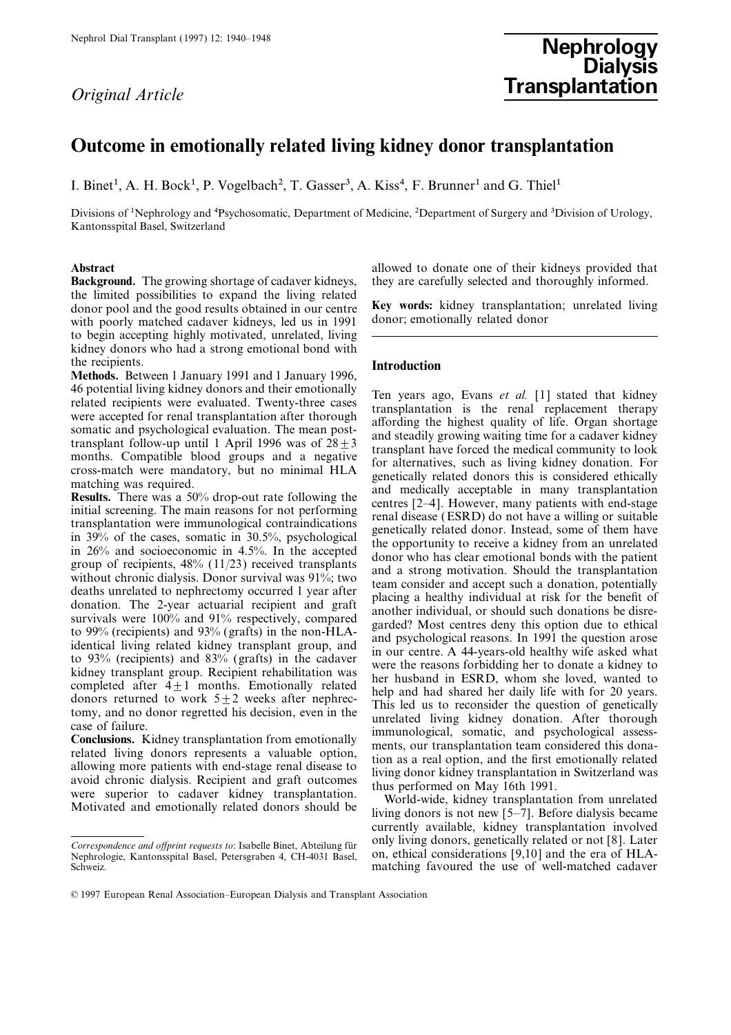# Nephrol Dial Transplant (1997) 12: 1940–1948<br>
Nephrology Nephrology Dialysis **Original Article Transplantation**

### Outcome in emotionally related living kidney donor transplantation

I. Binet<sup>1</sup>, A. H. Bock<sup>1</sup>, P. Vogelbach<sup>2</sup>, T. Gasser<sup>3</sup>, A. Kiss<sup>4</sup>, F. Brunner<sup>1</sup> and G. Thiel<sup>1</sup>

Divisions of <sup>1</sup>Nephrology and <sup>4</sup>Psychosomatic, Department of Medicine, <sup>2</sup>Department of Surgery and <sup>3</sup>Division of Urology, Kantonsspital Basel, Switzerland

Background. The growing shortage of cadaver kidneys, they are carefully selected and thoroughly informed. the limited possibilities to expand the living related donor pool and the good results obtained in our centre **Key words:** kidney transplantation; unrelated living with poorly matched cadaver kidneys led us in 1991 donor; emotionally related donor with poorly matched cadaver kidneys, led us in 1991 to begin accepting highly motivated, unrelated, living kidney donors who had a strong emotional bond with

the recipients.<br>**Methods.** Between 1 January 1991 and 1 January 1996, Introduction

Abstract allowed to donate one of their kidneys provided that allowed to donate one of their kidneys provided that

46 potential living kidny donors and their emotionally<br>
Tea years ago. Evans et al. [1] stated that kidney<br>receives reacted for react respective reacted Twenty-three cases rears<br>plantation is the real replacement therapy

currently available, kidney transplantation involved Correspondence and offprint requests to: Isabelle Binet, Abteilung für only living donors, genetically related or not [8]. Later Nephrologie, Kantonsspital Basel, Petersgraben 4, CH-4031 Basel, on, ethical considerations [ on, ethical considerations [9,10] and the era of HLA-

Schweiz. Solution of the use of well-matched cadaver

<sup>© 1997</sup> European Renal Association–European Dialysis and Transplant Association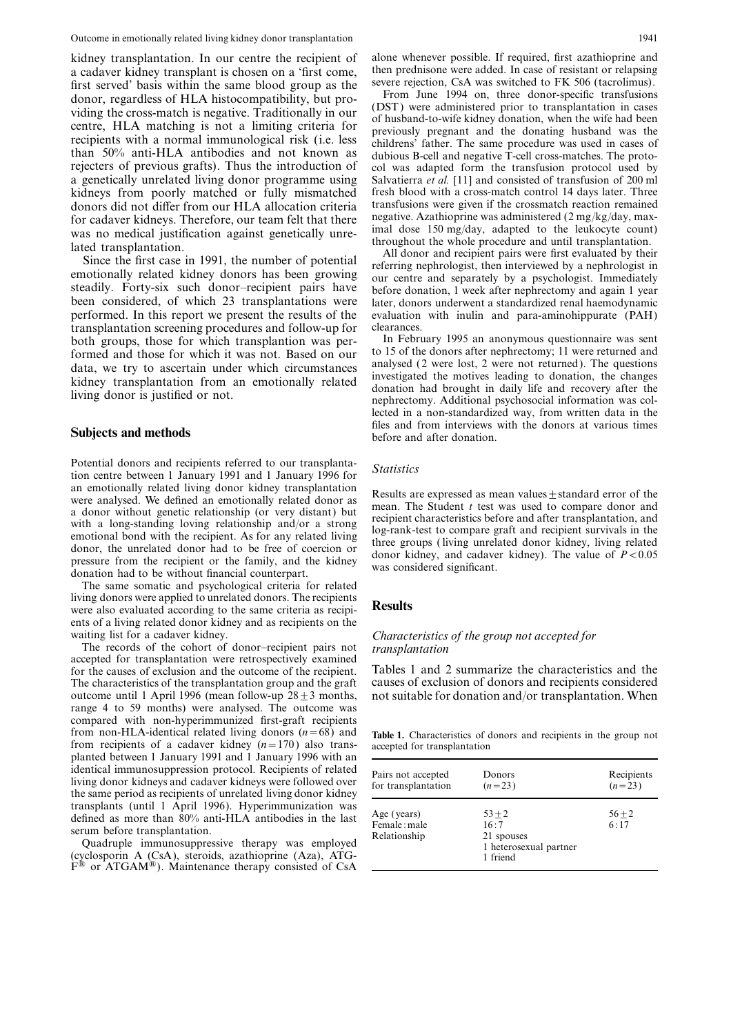a cadaver kidney transplant is chosen on a 'first come, then prednisone were added. In case of resistant or relapsing<br>first served' basis within the same blood group as the severe rejection, CsA was switched to FK 506 (tac first served' basis within the same blood group as the<br>donor, regardless of HLA histocompatibility, but pro-<br>viding the cross-match is negative. Traditionally in our<br>centre, HLA matching is not a limiting criteria for<br>reci kidneys from poorly matched or fully mismatched fresh blood with a cross-match control 14 days later. Three

been considered, of which 23 transplantations were later, donors underwent a standardized renal haemodynamic performed. In this report we present the results of the evaluation with inulin and para-aminohippurate (PAH) transplantation screening procedures and follow-up for clearances.<br>
both groups, those for which transplantion was per-<br>
In February 1995 an anonymous questionnaire was sent both groups, those for which transplantion was per-<br>formed and those for which it was not. Based on our to 15 of the donors after nephrectomy; 11 were returned and formed and those for which it was not. Based on our to 15 of the donors after nephrectomy; 11 were returned and data we try to ascertain under which circumstances analysed (2 were lost, 2 were not returned). The questions

Potential donors and recipients referred to our transplanta-<br>tion centre between 1 January 1991 and 1 January 1996 for Statistics an emotionally related living donor kidney transplantation<br>were analysed. We defined an emotionally related donor as<br>a donor without genetic relationship (or very distant) but<br>a long-standing loving relationship and/or a

The same somatic and psychological criteria for related living donors were applied to unrelated donors. The recipients were also evaluated according to the same criteria as recipi-<br>Results ents of a living related donor kidney and as recipients on the

The records of the cohort of donor–recipient pairs not *transplantation*<br>accepted for transplantation were retrospectively examined<br>for the causes of exclusion and the outcome of the recipient. Tables 1 and 2 summarize the for the causes of exclusion and the outcome of the recipient. Tables 1 and 2 summarize the characteristics and the<br>The characteristics of the transplantation group and the graft causes of exclusion of donors and recipients The characteristics of the transplantation group and the graft outcome until 1 April 1996 (mean follow-up  $28 \pm 3$  months, not suitable for donation and/or transplantation. When range 4 to 59 months) were analysed. The outcome was compared with non-hyperimmunized first-graft recipients from non-HLA-identical related living donors ( $n=68$ ) and Table 1. Characteristics of donors and recipients in the group not from recipients of a cadaver kidney ( $n=170$ ) also trans-<br>accepted for transplantation from recipients of a cadaver kidney  $(n=170)$  also trans- accepted for transplantation planted between 1 January 1991 and 1 January 1996 with an identical immunosuppression protocol. Recipients of related<br>living donor kidneys and cadaver kidneys were followed over<br>the same period as recipients of unrelated living donor kidney

 $F^{\circledast}$  or ATGAM<sup>®</sup>). Maintenance therapy consisted of CsA

rejecters of previous grafts). Thus the introduction of col was adapted form the transfusion protocol used by a genetically unrelated living donor programme using Salvatierra *et al.* [11] and consisted of transfusion of donors did not differ from our HLA allocation criteria transfusions were given if the crossmatch reaction remained<br>for cadaver kidneys. Therefore, our team felt that there negative. Azathioprine was administered  $(2 \text{ mg/kg/day$ 

for cadaver kidneys. Therefore, our team felt that there<br>was no medical justification against genetically unre-<br>lated transplantation.<br>lated transplantation.<br>lated transplantation.<br>Since the first case in 1991, the number

data, we try to ascertain under which circumstances<br>kidney transplantation from an emotionally related<br>livestigated the motives leading to donation, the changes<br>livestigated the motives leading to donation, the changes<br>liv lected in a non-standardized way, from written data in the **Subjects and methods** files and from interviews with the donors at various times before and after donation.

## waiting list for a cadaver kidney.<br>The records of the cohort of donor-recipient pairs not *transplantation*

| identical immunosuppression protocol. Recipients of related<br>living donor kidneys and cadaver kidneys were followed over<br>the same period as recipients of unrelated living donor kidney                                                                                                                                                                      | Pairs not accepted<br>for transplantation   | Donors<br>$(n=23)$                                                   | Recipients<br>$(n=23)$ |
|-------------------------------------------------------------------------------------------------------------------------------------------------------------------------------------------------------------------------------------------------------------------------------------------------------------------------------------------------------------------|---------------------------------------------|----------------------------------------------------------------------|------------------------|
| transplants (until 1 April 1996). Hyperimmunization was<br>defined as more than 80% anti-HLA antibodies in the last<br>serum before transplantation.<br>Quadruple immunosuppressive therapy was employed<br>(cyclosporin A (CsA), steroids, azathioprine (Aza), ATG-<br>$F^{(0)}$ or $\Lambda T G \Lambda M^{(0)}$ Maintenance therapy consisted of $C_8 \Lambda$ | Age (years)<br>Female: male<br>Relationship | $53 + 2$<br>16:7<br>21 spouses<br>1 heterosexual partner<br>1 friend | $56 + 2$<br>6:17       |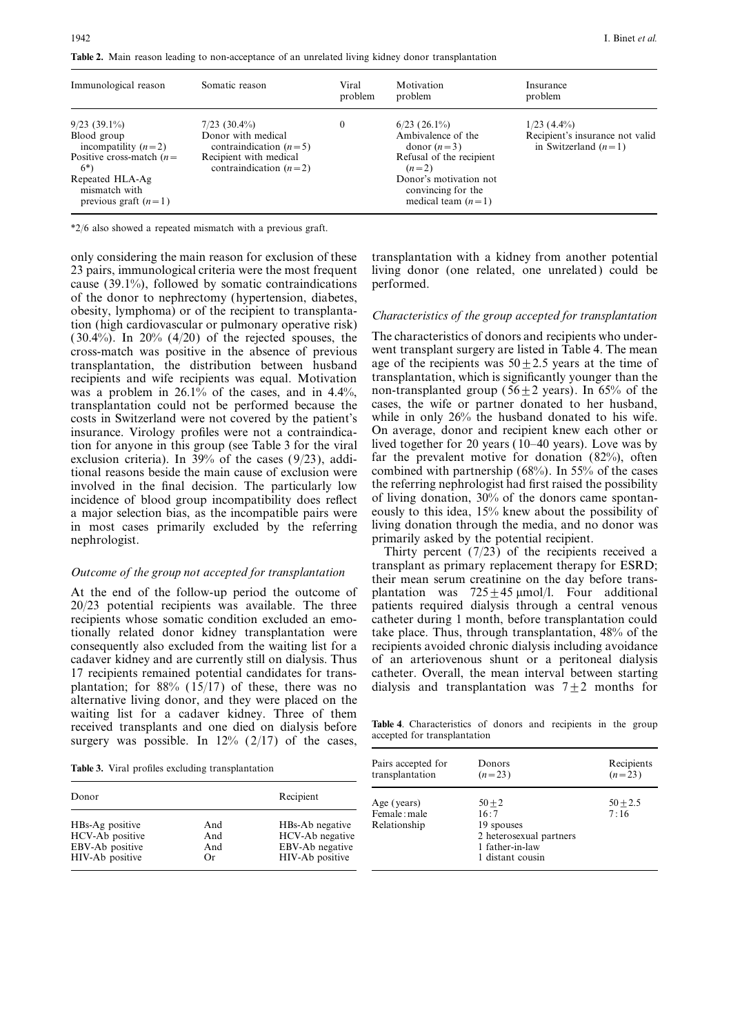Table 2. Main reason leading to non-acceptance of an unrelated living kidney donor transplantation

| Immunological reason                                                                                                                                        | Somatic reason                                                                                                         | Viral<br>problem | Motivation<br>problem                                                                                                                                                | Insurance<br>problem                                                       |
|-------------------------------------------------------------------------------------------------------------------------------------------------------------|------------------------------------------------------------------------------------------------------------------------|------------------|----------------------------------------------------------------------------------------------------------------------------------------------------------------------|----------------------------------------------------------------------------|
| $9/23(39.1\%)$<br>Blood group<br>incompatility $(n=2)$<br>Positive cross-match $(n=$<br>$6*)$<br>Repeated HLA-Ag<br>mismatch with<br>previous graft $(n=1)$ | $7/23$ (30.4%)<br>Donor with medical<br>contraindication $(n=5)$<br>Recipient with medical<br>contraindication $(n=2)$ | 0                | $6/23$ (26.1%)<br>Ambivalence of the<br>donor $(n=3)$<br>Refusal of the recipient<br>$(n=2)$<br>Donor's motivation not<br>convincing for the<br>medical team $(n=1)$ | $1/23$ (4.4%)<br>Recipient's insurance not valid<br>in Switzerland $(n=1)$ |

\*2/6 also showed a repeated mismatch with a previous graft.

23 pairs, immunological criteria were the most frequent living donor (one related, one unrelated) could be cause (39.1%), followed by somatic contraindications performed. of the donor to nephrectomy (hypertension, diabetes, obesity, lymphoma) or of the recipient to transplanta-<br>tion (high cardiovascular or pulmonary operative risk)<br>(30.4%). In 20% (4/20) of the rejected spouses, the The characteristics of donors and recipients who under- $(30.4\%)$ . In 20%  $(4/20)$  of the rejected spouses, the The characteristics of donors and recipients who under-<br>cross-match was positive in the absence of previous went transplant surgery are listed in Table 4. The mean cross-match was positive in the absence of previous went transplant surgery are listed in Table 4. The mean transplantation, the distribution between husband age of the recipients was  $50 \pm 2.5$  years at the time of transplantation, the distribution between husband age of the recipients was  $50 \pm 2.5$  years at the time of recipients and wife recipients was equal. Motivation transplantation, which is significantly younger than the recipients and wife recipients was equal. Motivation was a problem in 26.1% of the cases, and in 4.4%, non-transplanted group (56 $\pm$ 2 years). In 65% of the transplantation could not be performed because the cases, the wife or partner donated to her husband, transplantation could not be performed because the cases, the wife or partner donated to her husband, costs in Switzerland were not covered by the patient's while in only 26% the husband donated to his wife. costs in Switzerland were not covered by the patient's while in only 26% the husband donated to his wife.<br>insurance. Virology profiles were not a contraindica- On average, donor and recipient knew each other or insurance. Virology profiles were not a contraindica-<br>tion for anyone in this group (see Table 3 for the viral lived together for 20 years (10–40 years). Love was by tion for anyone in this group (see Table 3 for the viral exclusion criteria). In 39% of the cases (9/23), addi- far the prevalent motive for donation (82%), often tional reasons beside the main cause of exclusion were combined with partnership (68%). In 55% of the cases involved in the final decision. The particularly low the referring nephrologist had first raised the possibility incidence of blood group incompatibility does reflect of living donation, 30% of the donors came spontana major selection bias, as the incompatible pairs were eously to this idea, 15% knew about the possibility of in most cases primarily excluded by the referring living donation through the media, and no donor was nephrologist. **primarily asked by the potential recipient**.

recipients whose somatic condition excluded an emo- catheter during 1 month, before transplantation could tionally related donor kidney transplantation were take place. Thus, through transplantation, 48% of the consequently also excluded from the waiting list for a recipients avoided chronic dialysis including avoidance cadaver kidney and are currently still on dialysis. Thus of an arteriovenous shunt or a peritoneal dialysis 17 recipients remained potential candidates for trans- catheter. Overall, the mean interval between starting plantation; for 88% (15/17) of these, there was no dialysis and transplantation was  $7\pm2$  months for alternative living donor, and they were placed on the waiting list for a cadaver kidney. Three of them Table 4. Characteristics of donors and recipients in the group surgery was possible. In  $12\%$  (2/17) of the cases,

Table 3. Viral profiles excluding transplantation

| Donor                                                                    |                         | Recipient                                                                | Age (years)                  | $50 + 2$                                                                             | $50 + 2.5$ |
|--------------------------------------------------------------------------|-------------------------|--------------------------------------------------------------------------|------------------------------|--------------------------------------------------------------------------------------|------------|
| HBs-Ag positive<br>HCV-Ab positive<br>EBV-Ab positive<br>HIV-Ab positive | And<br>And<br>And<br>Or | HBs-Ab negative<br>HCV-Ab negative<br>EBV-Ab negative<br>HIV-Ab positive | Female: male<br>Relationship | 16:7<br>19 spouses<br>2 heterosexual partners<br>1 father-in-law<br>1 distant cousin | 7:16       |

only considering the main reason for exclusion of these transplantation with a kidney from another potential

Thirty percent  $(7/23)$  of the recipients received a Outcome of the group not accepted for transplantation transplant as primary replacement therapy for ESRD;<br>their mean serum creatinine on the day before trans-At the end of the follow-up period the outcome of plantation was  $725 \pm 45$  µmol/l. Four additional 20/23 potential recipients was available. The three patients required dialysis through a central venous patients required dialysis through a central venous take place. Thus, through transplantation, 48% of the

| Pairs accepted for                          | Donors                                                                                           | Recipients         |
|---------------------------------------------|--------------------------------------------------------------------------------------------------|--------------------|
| transplantation                             | $(n=23)$                                                                                         | $(n=23)$           |
| Age (years)<br>Female: male<br>Relationship | $50 + 2$<br>16:7<br>19 spouses<br>2 heterosexual partners<br>1 father-in-law<br>1 distant cousin | $50 + 2.5$<br>7:16 |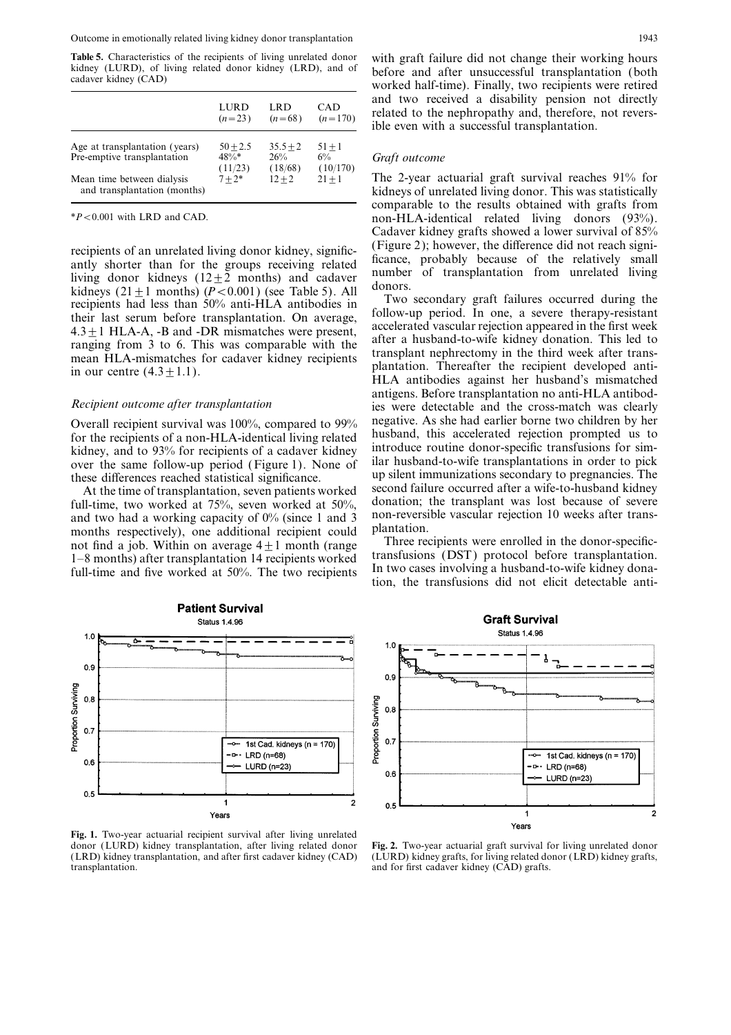|                                                               | LURD<br>$(n=23)$                 | LRD<br>$(n=68)$              | CAD<br>$(n=170)$              |
|---------------------------------------------------------------|----------------------------------|------------------------------|-------------------------------|
| Age at transplantation (years)<br>Pre-emptive transplantation | $50 + 2.5$<br>$48\%*$<br>(11/23) | $35.5 + 2$<br>26%<br>(18/68) | $51 + 1$<br>$6\%$<br>(10/170) |
| Mean time between dialysis<br>and transplantation (months)    | $7 + 2*$                         | $12 + 2$                     | $21 + 1$                      |

recipients of an unrelated living donor kidney, signific-<br>antly shorter than for the groups receiving related<br>living chance, probably because of the relatively small<br>living donor kidneys (12±2 months) and cadaver<br>kidneys

full-time, two worked at 75%, seven worked at 50%, donation; the transplant was lost because of severe and two had a working capacity of 0% (since 1 and 3 non-reversible vascular rejection 10 weeks after trans- months res months respectively), one additional recipient could plantation.<br>not find a job Within on average  $4+1$  month (range Three recipients were enrolled in the donor-specific-



Fig. 1. Two-year actuarial recipient survival after living unrelated donor (LURD) kidney transplantation, after living related donor transplantation. and for first cadaver kidney (CAD) grafts.

### Graft outcome

The 2-year actuarial graft survival reaches  $91\%$  for kidneys of unrelated living donor. This was statistically comparable to the results obtained with grafts from  $*P < 0.001$  with LRD and CAD. non-HLA-identical related living donors (93%). Cadaver kidney grafts showed a lower survival of 85%

antigens. Before transplantation anti-HLA antibod-<br>Recipient outcome after transplantation ies were detectable and the cross-match was clearly Overall recipient survival was  $100\%$ , compared to  $99\%$  negative. As she had earlier borne two children by her for the recipients of a non-HI A-identical living related husband, this accelerated rejection prompted us t for the recipients of a non-HLA-identical living related<br>kidney, and to 93% for recipients of a cadaver kidney<br>over the same follow-up period (Figure 1). None of ilar husband-to-wife transplantations in order to pick<br>these At the time of transplantation, seven patients worked second failure occurred after a wife-to-husband kidney<br>Il-time two worked at 75% seven worked at 50% donation; the transplant was lost because of severe

not find a job. Within on average  $4 \pm 1$  month (range<br>1-8 months) after transplantation 14 recipients worked<br>full-time and five worked at 50%. The two recipients<br>time, the transfusions did not elicit detectable anti-<br>tim



Fig. 2. Two-year actuarial graft survival for living unrelated donor (LRD) kidney transplantation, and after first cadaver kidney (CAD) (LURD) kidney grafts, for living related donor (LRD) kidney grafts,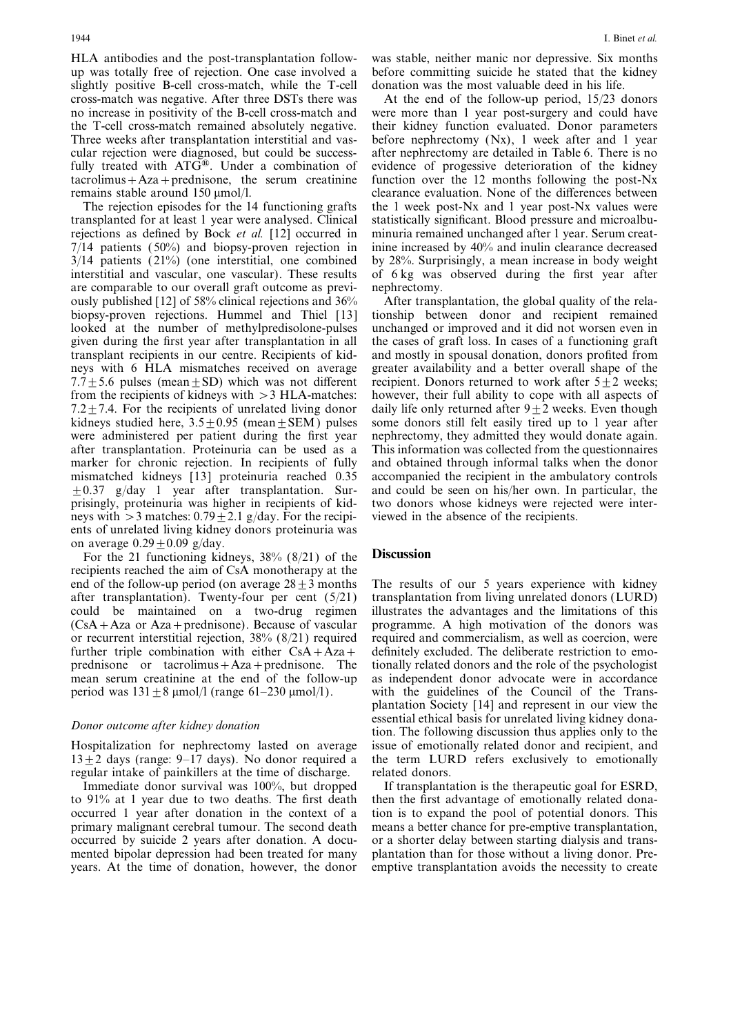up was totally free of rejection. One case involved a before committing suicide he stated that the kidney slightly positive B-cell cross-match, while the T-cell donation was the most valuable deed in his life. fully treated with ATG<sup>®</sup>. Under a combination of evidence of progessive deterioration of the kidney tacrolimus + Aza + prednisone, the serum creatinine function over the 12 months following the post-Nx

transplanted for at least 1 year were analysed. Clinical statistically significant. Blood pressure and microalburejections as defined by Bock et al. [12] occurred in minuria remained unchanged after 1 year. Serum creat-7/14 patients (50%) and biopsy-proven rejection in inine increased by 40% and inulin clearance decreased 3/14 patients (21%) (one interstitial, one combined by 28%. Surprisingly, a mean increase in body weight interstitial and vascular, one vascular). These results of 6 kg was observed during the first year after are comparable to our overall graft outcome as previ-<br>ously published [12] of 58% clinical rejections and 36% After transplantation, the global quality of the relaously published [12] of 58% clinical rejections and 36% After transplantation, the global quality of the rela-<br>biopsy-proven rejections. Hummel and Thiel [13] tionship between donor and recipient remained biopsy-proven rejections. Hummel and Thiel [13] looked at the number of methylpredisolone-pulses unchanged or improved and it did not worsen even in given during the first year after transplantation in all the cases of graft loss. In cases of a functioning graft transplant recipients in our centre. Recipients of kid- and mostly in spousal donation, donors profited from neys with 6 HLA mismatches received on average greater availability and a better overall shape of the 7.7 $\pm$ 5.6 pulses (mean $\pm$ SD) which was not different recipient. Donors returned to work after 5 $\pm$ 2 weeks; from the recipients of kidneys with >3 HLA-matches: however, their full ability to cope with all aspects of 7.2 $\pm$ 7.4. For the recipients of unrelated living donor daily life only returned after 9 $\pm$ 2 weeks. Even though kidneys studied here,  $3.5 \pm 0.95$  (mean $\pm$ SEM) pulses some donors still felt easily tired up to 1 year after were administered per patient during the first year nephrectomy, they admitted they would donate again. after transplantation. Proteinuria can be used as a This information was collected from the questionnaires marker for chronic rejection. In recipients of fully and obtained through informal talks when the donor marker for chronic rejection. In recipients of fully mismatched kidneys [13] proteinuria reached 0.35 accompanied the recipient in the ambulatory controls  $\pm 0.37$  g/day 1 year after transplantation. Sur- and could be seen on his/her own. In particular, the prisingly, proteinuria was higher in recipients of kid- two donors whose kidneys were rejected were interneys with  $>3$  matches:  $0.79 \pm 2.1$  g/day. For the recipi- viewed in the absence of the recipients. ents of unrelated living kidney donors proteinuria was on average  $0.29 \pm 0.09$  g/day.

For the 21 functioning kidneys, 38% (8/21) of the **Discussion** recipients reached the aim of CsA monotherapy at the end of the follow-up period (on average  $28 \pm 3$  months The results of our 5 years experience with kidney after transplantation). Twenty-four per cent  $(5/21)$  transplantation from living unrelated donors (LURD) could be maintained on a two-drug regimen illustrates the advantages and the limitations of this could be maintained on a two-drug regimen illustrates the advantages and the limitations of this  $(CsA + Aza)$  or  $Aza + \text{prednisone}$ ). Because of vascular programme. A high motivation of the donors was or recurrent interstitial rejection, 38% (8/21) required required and commercialism, as well as coercion, were further triple combination with either  $CSA+Aza$  definitely excluded. The deliberate restriction to emoprednisone or tacrolimus  $+Aza$  + prednisone. The tionally related donors and the role of the psychologist mean serum creatinine at the end of the follow-up as independent donor advocate were in accordance

regular intake of painkillers at the time of discharge. related donors.

Immediate donor survival was 100%, but dropped If transplantation is the therapeutic goal for ESRD, to 91% at 1 year due to two deaths. The first death then the first advantage of emotionally related donaoccurred 1 year after donation in the context of a tion is to expand the pool of potential donors. This primary malignant cerebral tumour. The second death means a better chance for pre-emptive transplantation, occurred by suicide 2 years after donation. A docu- or a shorter delay between starting dialysis and transmented bipolar depression had been treated for many plantation than for those without a living donor. Preyears. At the time of donation, however, the donor emptive transplantation avoids the necessity to create

HLA antibodies and the post-transplantation follow- was stable, neither manic nor depressive. Six months

cross-match was negative. After three DSTs there was At the end of the follow-up period, 15/23 donors no increase in positivity of the B-cell cross-match and were more than 1 year post-surgery and could have the T-cell cross-match remained absolutely negative. their kidney function evaluated. Donor parameters Three weeks after transplantation interstitial and vas-before nephrectomy  $(Nx)$ , 1 week after and 1 year cular rejection were diagnosed, but could be success- after nephrectomy are detailed in Table 6. There is no function over the 12 months following the post-Nx remains stable around  $150 \mu \text{mol}/l$ . clearance evaluation. None of the differences between The rejection episodes for the 14 functioning grafts the 1 week post-Nx and 1 year post-Nx values were

programme. A high motivation of the donors was period was  $131 \pm 8 \mu$ mol/l (range 61–230  $\mu$ mol/l). with the guidelines of the Council of the Transplantation Society [14] and represent in our view the Expected basis for unrelated living kidney dona-<br>
Donor outcome after kidney donation<br>
tion. The following discussion thus applies only to the Hospitalization for nephrectomy lasted on average issue of emotionally related donor and recipient, and  $13 \pm 2$  days (range: 9–17 days). No donor required a the term LURD refers exclusively to emotionally the term LURD refers exclusively to emotionally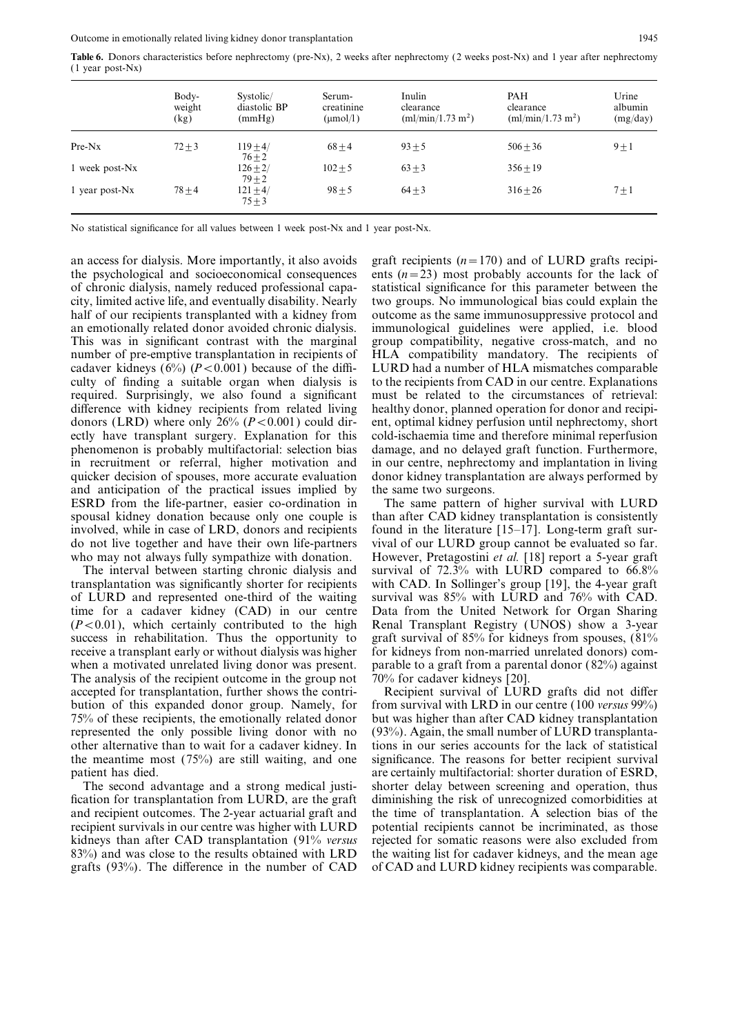Table 6. Donors characteristics before nephrectomy (pre-Nx), 2 weeks after nephrectomy (2 weeks post-Nx) and 1 year after nephrectomy (1 year post-Nx)

|                            | Body-<br>weight<br>(kg) | Systolic/<br>diastolic BP<br>(mmHg) | Serum-<br>creatinine<br>$(\mu \text{mol/l})$ | Inulin<br>clearance<br>(ml/min/1.73 m <sup>2</sup> ) | <b>PAH</b><br>clearance<br>(ml/min/1.73 m <sup>2</sup> ) | Urine<br>albumin<br>(mg/day) |
|----------------------------|-------------------------|-------------------------------------|----------------------------------------------|------------------------------------------------------|----------------------------------------------------------|------------------------------|
| $Pre-Nx$                   | $72 + 3$                | $119 + 4/$<br>$76 + 2$              | $68 + 4$                                     | $93 + 5$                                             | $506 + 36$                                               | $9 + 1$                      |
| 1 week post-N <sub>x</sub> |                         | $126 \pm 2/$<br>$79 \pm 2$          | $102 + 5$                                    | $63 \pm 3$                                           | $356 + 19$                                               |                              |
| 1 year post-N <sub>x</sub> | $78 + 4$                | $121 \pm 4/$<br>$75 + 3$            | $98 \pm 5$                                   | $64 \pm 3$                                           | $316 + 26$                                               | $7 \pm 1$                    |

No statistical significance for all values between 1 week post-Nx and 1 year post-Nx.

the psychological and socioeconomical consequences ents  $(n=23)$  most probably accounts for the lack of of chronic dialysis, namely reduced professional capa- statistical significance for this parameter between the city, limited active life, and eventually disability. Nearly two groups. No immunological bias could explain the half of our recipients transplanted with a kidney from outcome as the same immunosuppressive protocol and an emotionally related donor avoided chronic dialysis. immunological guidelines were applied, i.e. blood This was in significant contrast with the marginal group compatibility, negative cross-match, and no number of pre-emptive transplantation in recipients of HLA compatibility mandatory. The recipients of cadaver kidneys (6%) ( $P < 0.001$ ) because of the diffi-LURD had a number of HLA mismatches comparable culty of finding a suitable organ when dialysis is to the recipients from CAD in our centre. Explanations required. Surprisingly, we also found a significant must be related to the circumstances of retrieval: difference with kidney recipients from related living healthy donor, planned operation for donor and recipidonors (LRD) where only  $26\%$  ( $P < 0.001$ ) could dir-ent, optimal kidney perfusion until nephrectomy, short ectly have transplant surgery. Explanation for this cold-ischaemia time and therefore minimal reperfusion phenomenon is probably multifactorial: selection bias damage, and no delayed graft function. Furthermore, in recruitment or referral, higher motivation and in our centre, nephrectomy and implantation in living quicker decision of spouses, more accurate evaluation donor kidney transplantation are always performed by and anticipation of the practical issues implied by the same two surgeons. ESRD from the life-partner, easier co-ordination in The same pattern of higher survival with LURD spousal kidney donation because only one couple is than after CAD kidney transplantation is consistently involved, while in case of LRD, donors and recipients found in the literature [15–17]. Long-term graft surdo not live together and have their own life-partners vival of our LURD group cannot be evaluated so far.

transplantation was significantly shorter for recipients with CAD. In Sollinger's group [19], the 4-year graft of LURD and represented one-third of the waiting survival was 85% with LURD and 76% with CAD.  $(P<0.01)$ , which certainly contributed to the high Renal Transplant Registry (UNOS) show a 3-year success in rehabilitation. Thus the opportunity to graft survival of 85% for kidneys from spouses, (81%) receive a transplant early or without dialysis was higher for kidneys from non-married unrelated donors) com-The analysis of the recipient outcome in the group not 70% for cadaver kidneys [20]. accepted for transplantation, further shows the contri-<br>Recipient survival of LURD grafts did not differ bution of this expanded donor group. Namely, for from survival with LRD in our centre (100 versus 99%) 75% of these recipients, the emotionally related donor but was higher than after CAD kidney transplantation represented the only possible living donor with no (93%). Again, the small number of LURD transplantaother alternative than to wait for a cadaver kidney. In tions in our series accounts for the lack of statistical the meantime most (75%) are still waiting, and one significance. The reasons for better recipient survival patient has died. are certainly multifactorial: shorter duration of ESRD,

fication for transplantation from LURD, are the graft diminishing the risk of unrecognized comorbidities at and recipient outcomes. The 2-year actuarial graft and the time of transplantation. A selection bias of the recipient survivals in our centre was higher with LURD potential recipients cannot be incriminated, as those kidneys than after CAD transplantation (91% *versus* rejected for somatic reasons were also excluded from 83%) and was close to the results obtained with LRD the waiting list for cadaver kidneys, and the mean age grafts  $(93%)$ . The difference in the number of CAD of CAD and LURD kidney recipients was comparable.

an access for dialysis. More importantly, it also avoids graft recipients  $(n=170)$  and of LURD grafts recipidamage, and no delayed graft function. Furthermore,

who may not always fully sympathize with donation. However, Pretagostini et al. [18] report a 5-year graft The interval between starting chronic dialysis and survival of 72.3% with LURD compared to 66.8% time for a cadaver kidney (CAD) in our centre Data from the United Network for Organ Sharing graft survival of 85% for kidneys from spouses,  $(81%$ when a motivated unrelated living donor was present. parable to a graft from a parental donor  $(82\%)$  against

The second advantage and a strong medical justi- shorter delay between screening and operation, thus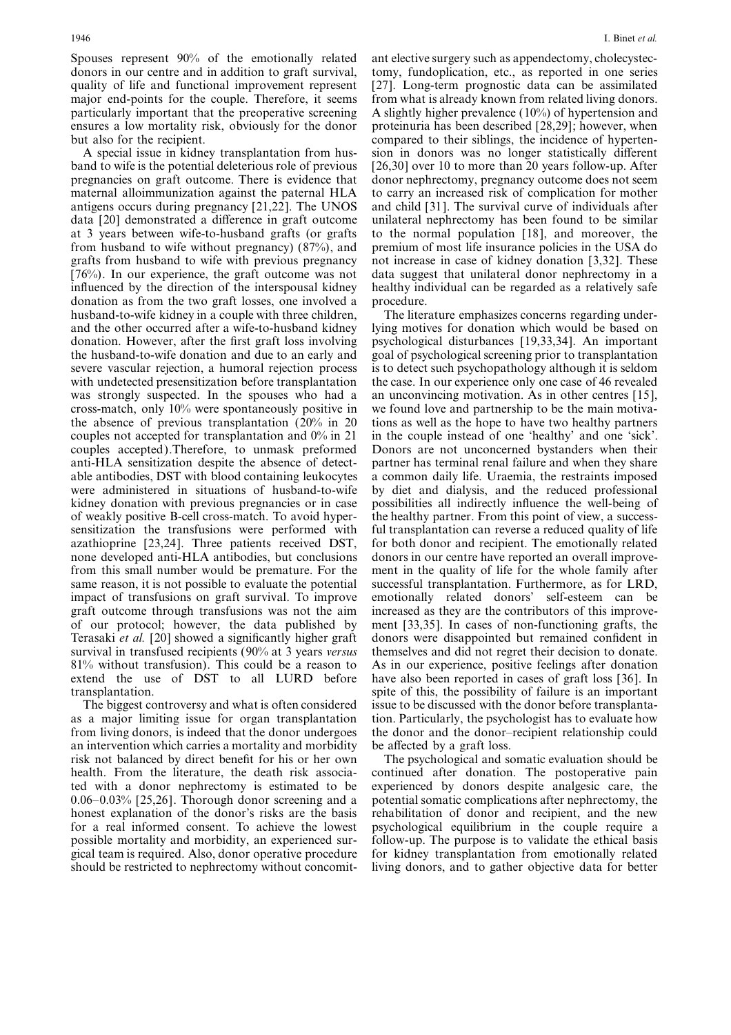Spouses represent 90% of the emotionally related ant elective surgery such as appendectomy, cholecystecdonors in our centre and in addition to graft survival, tomy, fundoplication, etc., as reported in one series quality of life and functional improvement represent [27]. Long-term prognostic data can be assimilated major end-points for the couple. Therefore, it seems from what is already known from related living donors. particularly important that the preoperative screening A slightly higher prevalence (10%) of hypertension and ensures a low mortality risk, obviously for the donor proteinuria has been described [28,29]; however, when but also for the recipient. compared to their siblings, the incidence of hyperten-

band to wife is the potential deleterious role of previous [26,30] over 10 to more than 20 years follow-up. After pregnancies on graft outcome. There is evidence that donor nephrectomy, pregnancy outcome does not seem maternal alloimmunization against the paternal HLA to carry an increased risk of complication for mother antigens occurs during pregnancy [21,22]. The UNOS and child [31]. The survival curve of individuals after data [20] demonstrated a difference in graft outcome unilateral nephrectomy has been found to be similar at 3 years between wife-to-husband grafts (or grafts to the normal population [18], and moreover, the from husband to wife without pregnancy) (87%), and premium of most life insurance policies in the USA do grafts from husband to wife with previous pregnancy not increase in case of kidney donation [3,32]. These [76%). In our experience, the graft outcome was not data suggest that unilateral donor nephrectomy in a influenced by the direction of the interspousal kidney healthy individual can be regarded as a relatively safe donation as from the two graft losses, one involved a husband-to-wife kidney in a couple with three children, The literature emphasizes concerns regarding underand the other occurred after a wife-to-husband kidney lying motives for donation which would be based on donation. However, after the first graft loss involving psychological disturbances [19,33,34]. An important the husband-to-wife donation and due to an early and goal of psychological screening prior to transplantation severe vascular rejection, a humoral rejection process is to detect such psychopathology although it is seldom with undetected presensitization before transplantation the case. In our experience only one case of 46 revealed was strongly suspected. In the spouses who had a an unconvincing motivation. As in other centres [15], cross-match, only 10% were spontaneously positive in we found love and partnership to be the main motivathe absence of previous transplantation (20% in 20 tions as well as the hope to have two healthy partners couples not accepted for transplantation and 0% in 21 in the couple instead of one 'healthy' and one 'sick'. couples accepted).Therefore, to unmask preformed Donors are not unconcerned bystanders when their anti-HLA sensitization despite the absence of detect-<br>partner has terminal renal failure and when they share anti-HLA sensitization despite the absence of detectable antibodies, DST with blood containing leukocytes a common daily life. Uraemia, the restraints imposed were administered in situations of husband-to-wife by diet and dialysis, and the reduced professional kidney donation with previous pregnancies or in case possibilities all indirectly influence the well-being of kidney donation with previous pregnancies or in case of weakly positive B-cell cross-match. To avoid hyper- the healthy partner. From this point of view, a successsensitization the transfusions were performed with ful transplantation can reverse a reduced quality of life azathioprine [23,24]. Three patients received DST, for both donor and recipient. The emotionally related none developed anti-HLA antibodies, but conclusions donors in our centre have reported an overall improvefrom this small number would be premature. For the ment in the quality of life for the whole family after same reason, it is not possible to evaluate the potential successful transplantation. Furthermore, as for LRD, impact of transfusions on graft survival. To improve emotionally related donors' self-esteem can be graft outcome through transfusions was not the aim increased as they are the contributors of this improveof our protocol; however, the data published by ment [33,35]. In cases of non-functioning grafts, the Terasaki et al. [20] showed a significantly higher graft donors were disappointed but remained confident in survival in transfused recipients (90% at 3 years versus themselves and did not regret their decision to donate. 81% without transfusion). This could be a reason to As in our experience, positive feelings after donation extend the use of DST to all LURD before have also been reported in cases of graft loss [36]. In

as a major limiting issue for organ transplantation tion. Particularly, the psychologist has to evaluate how from living donors, is indeed that the donor undergoes the donor and the donor–recipient relationship could an intervention which carries a mortality and morbidity be affected by a graft loss. risk not balanced by direct benefit for his or her own The psychological and somatic evaluation should be health. From the literature, the death risk associa- continued after donation. The postoperative pain ted with a donor nephrectomy is estimated to be experienced by donors despite analgesic care, the 0.06–0.03% [25,26]. Thorough donor screening and a potential somatic complications after nephrectomy, the honest explanation of the donor's risks are the basis rehabilitation of donor and recipient, and the new for a real informed consent. To achieve the lowest psychological equilibrium in the couple require a possible mortality and morbidity, an experienced sur- follow-up. The purpose is to validate the ethical basis gical team is required. Also, donor operative procedure for kidney transplantation from emotionally related should be restricted to nephrectomy without concomit- living donors, and to gather objective data for better

A special issue in kidney transplantation from hus-<br>ion in donors was no longer statistically different

emotionally related donors' self-esteem can be transplantation. Spite of this, the possibility of failure is an important The biggest controversy and what is often considered issue to be discussed with the donor before transplanta-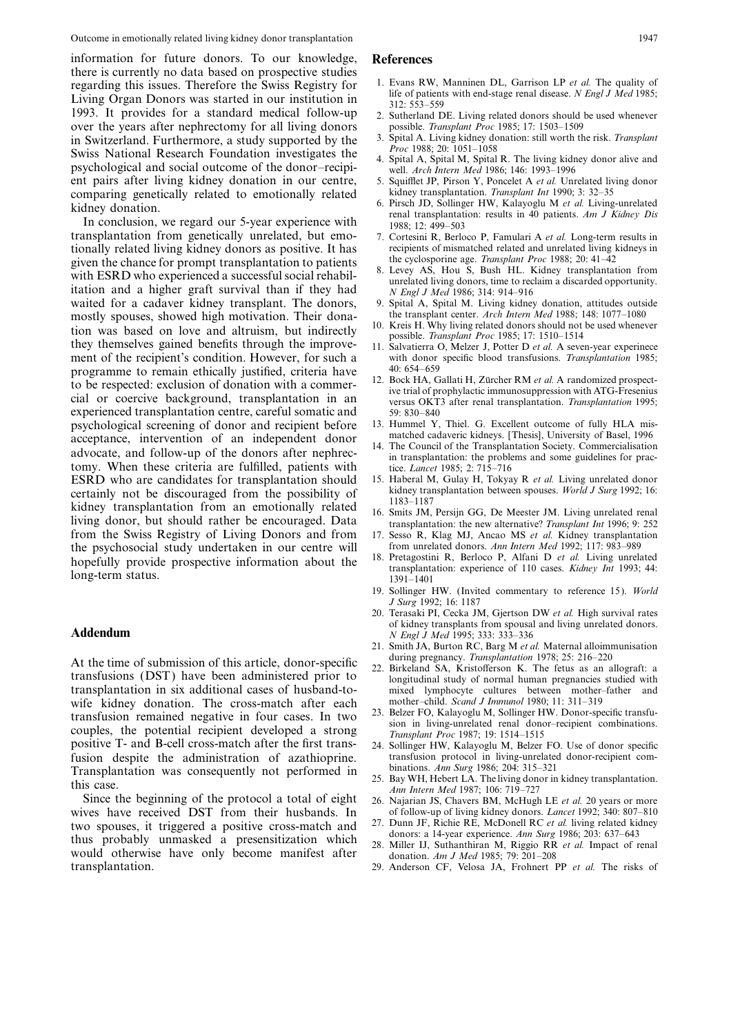information for future donors. To our knowledge, References there is currently no data based on prospective studies regarding this issues. Therefore the Swiss Registry for 1. Evans RW, Manninen DL, Garrison LP et al. The quality of Living Organ Donors was started in our institution in  $\frac{120 \times 53-559}{312 \times 53-559}$ 1993. It provides for a standard medical follow-up 2. Sutherland DE. Living related donors should be used whenever over the years after nephrectomy for all living donors possible. Transplant Proc 1985; 17: 1503–1509 over the years after nephrectomy for all living donors possible. Transplant Proc 1985; 17: 1503–1509<br>in Switzerland Furthermore, a study supported by the 3. Spital A. Living kidney donation: still worth the risk. Transplan in Switzerland. Furthermore, a study supported by the 3. Spital A. Living kidney donation: still worth the risk. Transplant<br>Swiss National Research Foundation investigates the *Proc* 1988; 20: 1051–1058<br>psychological and s ent pairs after living kidney donation in our centre, 5. Squifflet JP, Pirson Y, Poncelet A *et al.* Unrelated living donor comparing genetically related to emotionally related kidney transplantation. Transplant Int 1990; comparing genetically related to emotionally related kidney transplantation. Transplant Int 1990; 3: 32–35<br>kidney donation. Eigher HW, Kalayoglu M et al. Living-unrelated

transplantation from genetically unrelated, but emo- 7. Cortesini R, Berloco P, Famulari A et al. Long-term results in tionally related living kidney donors as positive. It has recipients of mismatched related and unrelated living kidneys in given the chance for prompt transplantation to patients the cyclosporine age. Transplant Proc 1988; given the chance for prompt transplantation to patients<br>with ESRD who experienced a successful social rehabil-<br>itation and a higher graft survival than if they had<br>waited for a cadaver kidney transplant. The donors, and a waited for a cadaver kidney transplant. The donors, 9. Spital A, Spital M. Living kidney donation, attitudes outside mostly spouses showed high motivation. Their donation is the transplant center. Arch Intern Med 1988; 148 mostly spouses, showed high motivation. Their dona-<br>the transplant center. Arch Intern Med 1988; 148: 1077–1080<br>tion was based on love and altruism, but indirectly tion was based on love and altruism, but indirectly<br>they themselves gained benefits through the improve-<br>ment of the recipient's condition. However, for such a<br>ment of the recipient's condition. However, for such a<br>with do programme to remain ethically justified, criteria have  $\frac{40:654-659}{12}$  Bock HA. Gallati H. Zürcher RM *et al.* A randomized prospectto be respected: exclusion of donation with a commer-<br>cial or coercive background, transplantation in an example of the transplantation of the coercive background, transplantation in an example of the transplantation. Tran experienced transplantation centre, careful somatic and 59: 830–840<br>psychological screening of donor and recipient before 13. Hummel Y, Thiel. G. Excellent outcome of fully HLA mispsychological screening of donor and recipient before 13. Hummel Y, Thiel. G. Excellent outcome of fully HLA mis-<br>acceptance, intervention of an independent donor matched cadaveric kidneys. [Thesis], University of Basel, 1 acceptance, intervention of an independent donor matched cadaveric kidneys. [Thesis], University of Basel, 1996<br>advocate, and follow-up of the donors after nephrec-<br>tomy. When these criteria are fulfilled, patients with<br>th tomy. When these criteria are fulfilled, patients with tice. Lancet 1985; 2: 715–716<br>ESRD who are candidates for transplantation should 15. Haberal M, Gulay H, Tokyay R et al. Living unrelated donor ESRD who are candidates for transplantation should 15. Haberal M, Gulay H, Tokyay R et al. Living unrelated donor certainly not be discouraged from the possibility of kidney transplantation between spouses. World J Surg 19 certainly not be discouraged from the possibility of<br>kidney transplantation between spouses. World J Surg 1992; 16:<br>kidney transplantation from an emotionally related<br>living donor, but should rather be encouraged. Data<br>fro from the Swiss Registry of Living Donors and from the psychosocial study undertaken in our centre will<br>hopefully provide prospective information about the<br>long-term status.<br> $\frac{18. \text{ Pretagostini R, Berloco P, Alfani D } et \text{ al. Living unrelated} to 110 cases. Kidney Int 1993; 44: 1391-1401$ 

At the time of submission of this article, donor-specific during pregnancy. Transplantation 1978; 25: 216–220<br>transfusions (DST) have been administered prior to<br>transplantation in six additional cases of husband-to-<br>transp wife kidney donation. The cross-match after each mother–child. Scand J Immunol 1980; 11: 311–319<br>transfusion remained negative in four cases. In two  $^{23}$ . Belzer FO, Kalayoglu M, Sollinger HW. Donor-specific transfutransfusion remained negative in four cases. In two <sup>23. Belzer FO, Kalayoglu M, Sollinger HW. Donor-specific transfu-<br>couples, the potential recipient developed a strong *Transplant Proc* 1987; 19: 1514–1515<br>positive T- a</sup> positive T- and B-cell cross-match after the first transfusion despite the administration of azathioprine. transfusion protocol in living-unrelated donor-recipient com-<br>Transplantation was consequently not performed in binations. Ann Surg 1986; 204: 315–321 Transplantation was consequently not performed in<br>this case.<br>this case.<br>Since the beginning of the protocol a total of eight<br>with the beginning of the protocol a total of eight<br> $\frac{Ann\ In\ In\ In\ N25. Bay WH, Hebert LA. The living donor in kidney transplantation.$ <br>Since the b

wives have received DST from their husbands. In of follow-up of living kidney donors. Lancet 1992; 340: 807–810<br>two spouses it triggered a positive cross-match and 27. Dunn JF, Richie RE, McDonell RC et al. living related two spouses, it triggered a positive cross-match and <sup>27</sup>. Dunn JF, Richie RE, McDonell RC *et al.* living related kidney<br>thus probably unmasked a presensitization which donors: a 14-year experience. Ann Surg 1986; 203: 63

- 
- 
- 
- 
- 
- 6. Pirsch JD, Sollinger HW, Kalayoglu M et al. Living-unrelated<br>In conclusion, we regard our 5-year experience with<br> $\frac{1988.12.499-503}{1988.12.499-503}$ 
	-
	-
	-
	-
	- with donor specific blood transfusions. Transplantation 1985;<br>40: 654-659
	-
	-
	-
	-
	-
	-
	-
	- 19. Sollinger HW. (Invited commentary to reference 15). World J Surg 1992; 16: 1187
- 20. Terasaki PI, Cecka JM, Gjertson DW et al. High survival rates of kidney transplants from spousal and living unrelated donors.  $\blacksquare$  Addendum  $N$  Engl J Med 1995: 333: 333–336
	- 21. Smith JA, Burton RC, Barg M et al. Maternal alloimmunisation
	- mixed lymphocyte cultures between mother–father and mother–child. Scand J Immunol 1980; 11: 311–319
	-
	-
	-
	-
	-
	-
	- 29. Anderson CF, Velosa JA, Frohnert PP et al. The risks of